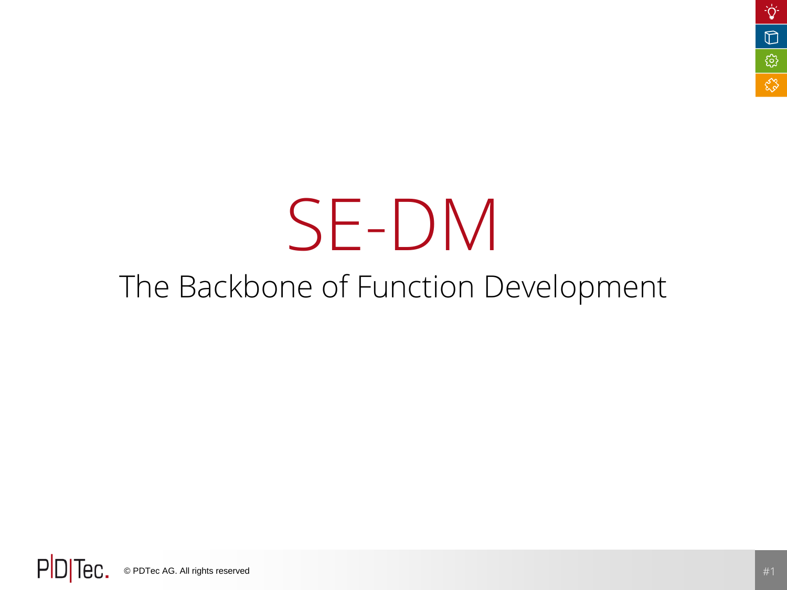# SE-DM

### The Backbone of Function Development

PD<sub>Tec</sub>. © PDTec AG. All rights reserved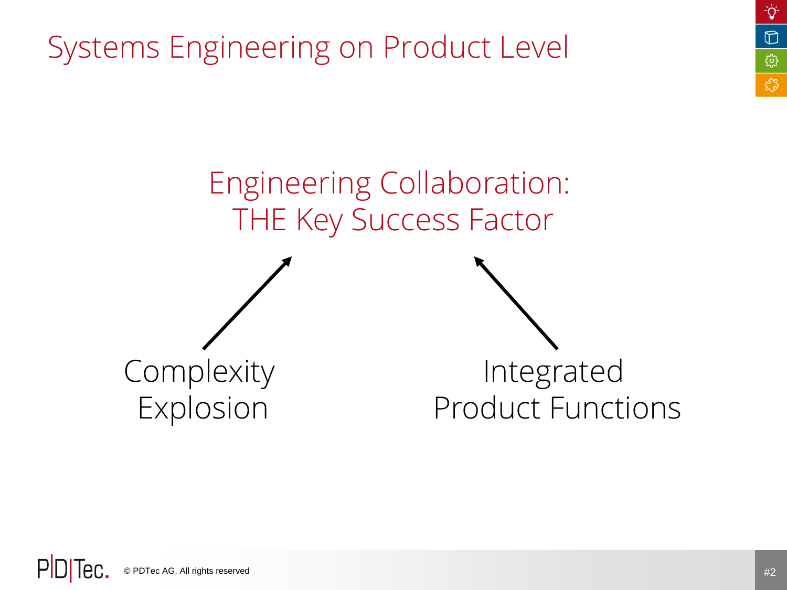Systems Engineering on Product Level



٠Ö

 $\mathbb D$ 

छु

ళ్లిక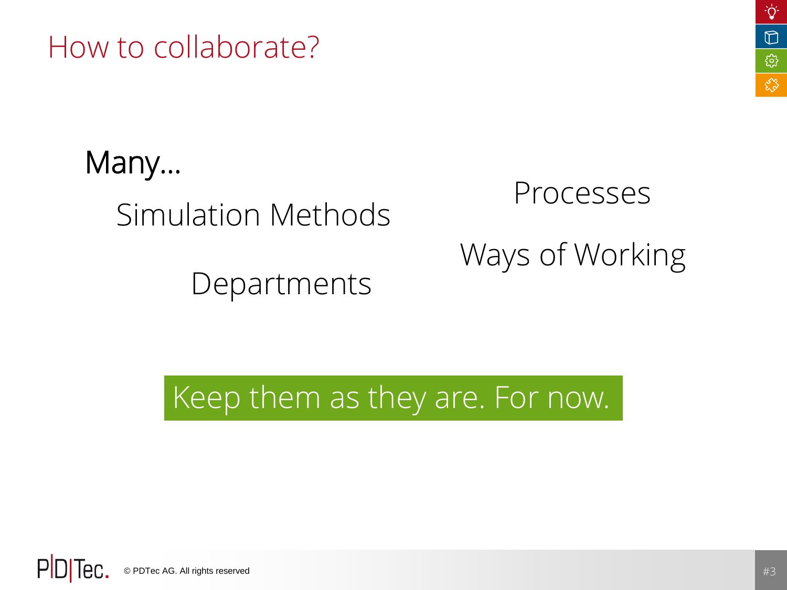How to collaborate?

Simulation Methods Many…

Departments

# Processes Ways of Working

Keep them as they are. For now.

PD lec. © PDTec AG. All rights reserved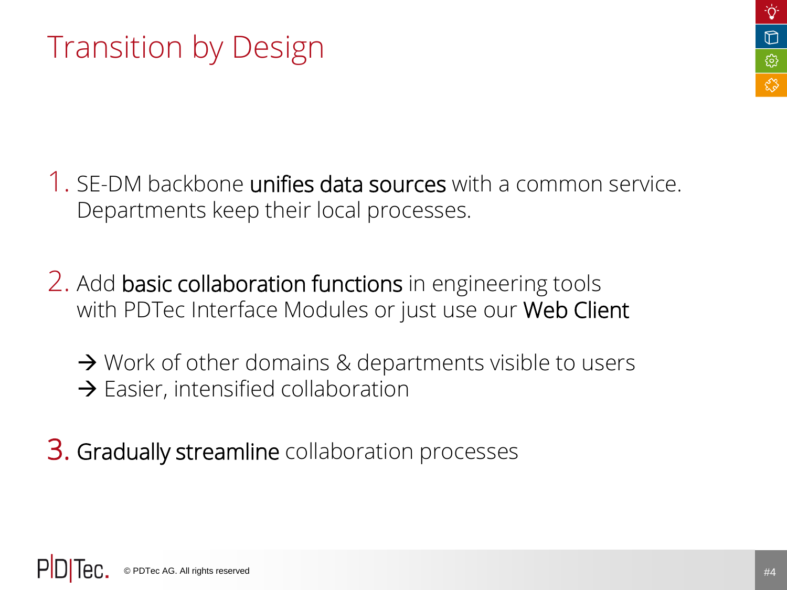### Transition by Design

- 1. SE-DM backbone unifies data sources with a common service. Departments keep their local processes.
- 2. Add basic collaboration functions in engineering tools with PDTec Interface Modules or just use our Web Client
	- $\rightarrow$  Work of other domains & departments visible to users  $\rightarrow$  Easier, intensified collaboration
- 3. Gradually streamline collaboration processes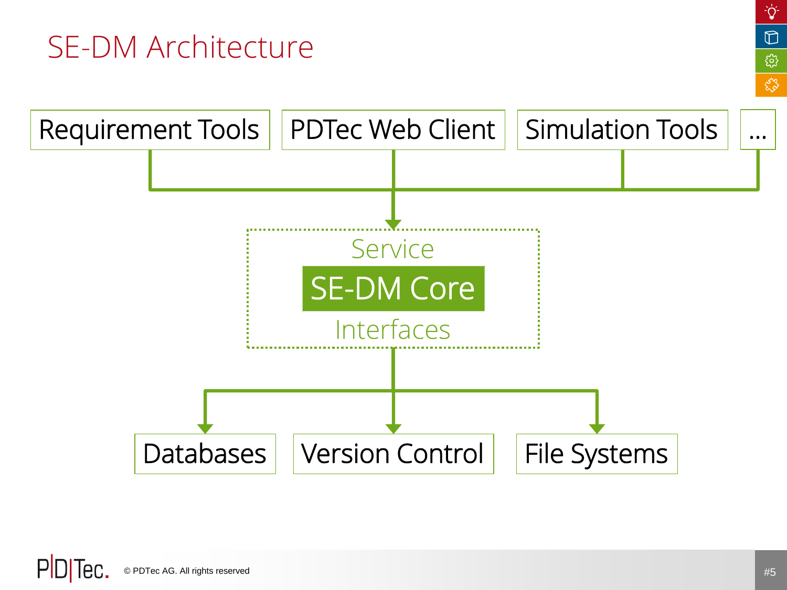### SE-DM Architecture



۰Ö

 $\mathbb{D}$ 

छु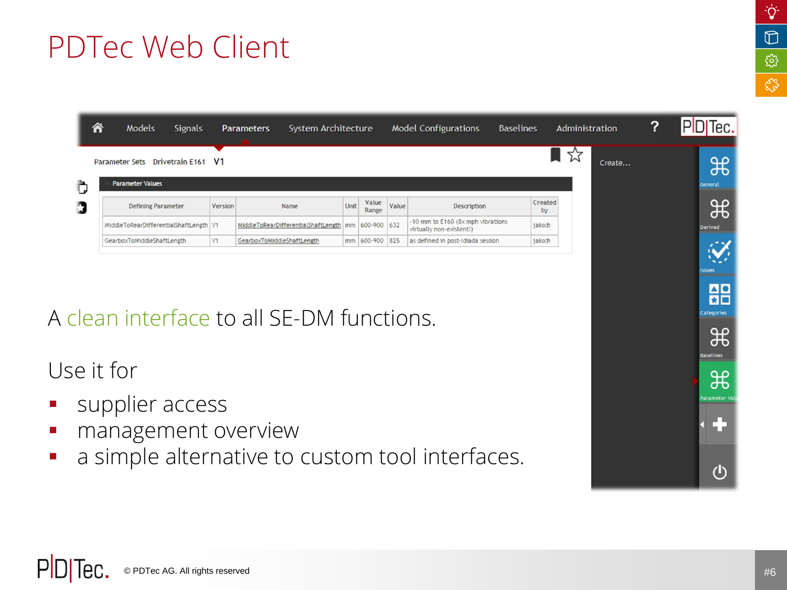### PDTec Web Client

|                                                               | 谷                                               | Models<br><b>Signals</b>                                              |         | System Architecture<br><b>Parameters</b>    |      |                         |       | <b>Model Configurations</b>                                   | <b>Baselines</b> | Administration | ? | PDTec.                                                                  |
|---------------------------------------------------------------|-------------------------------------------------|-----------------------------------------------------------------------|---------|---------------------------------------------|------|-------------------------|-------|---------------------------------------------------------------|------------------|----------------|---|-------------------------------------------------------------------------|
| $7\frac{1}{2}$<br>Parameter Sets Drivetrain E161 V1<br>Create |                                                 |                                                                       |         |                                             |      |                         |       |                                                               |                  |                |   | ポ                                                                       |
|                                                               | ì,                                              | <b>Parameter Values</b>                                               |         |                                             |      | Value                   |       |                                                               | Created          |                |   | General                                                                 |
|                                                               | D                                               | <b>Defining Parameter</b><br>MiddleToRearDifferentialShaftLength   V1 | Version | Name<br>MiddleToRearDifferentialShaftLength | Unit | Range<br>mm 600-900 632 | Value | Description<br>-10 mm to E160 (8x mph vibrations              | by<br>jaksch     |                |   | ₩                                                                       |
|                                                               |                                                 | GearboxToMiddleShaftLength                                            | V1      | GearboxToMiddleShaftLength                  |      | mm 600-900 825          |       | virtually non-existent!)<br>as defined in post-Idiada session | jaksch           |                |   | <b>Derived</b>                                                          |
|                                                               |                                                 |                                                                       |         |                                             |      |                         |       |                                                               |                  |                |   |                                                                         |
|                                                               |                                                 |                                                                       |         |                                             |      |                         |       |                                                               |                  |                |   | ssues                                                                   |
|                                                               |                                                 |                                                                       |         |                                             |      |                         |       |                                                               |                  |                |   | $\begin{array}{c c} \hline \textbf{A} & \textbf{O} \end{array}$<br>ਸ਼ਿ⊟ |
|                                                               | A clean interface to all SF-DM functions.       |                                                                       |         |                                             |      |                         |       |                                                               |                  |                |   |                                                                         |
|                                                               |                                                 |                                                                       |         |                                             |      |                         |       |                                                               |                  |                |   |                                                                         |
|                                                               |                                                 |                                                                       |         |                                             |      |                         |       |                                                               |                  |                |   |                                                                         |
|                                                               | Use it for                                      |                                                                       |         |                                             |      |                         |       |                                                               |                  |                |   |                                                                         |
|                                                               |                                                 |                                                                       |         |                                             |      |                         |       |                                                               |                  |                |   |                                                                         |
| $\mathcal{L}_{\mathcal{A}}$                                   | supplier access                                 |                                                                       |         |                                             |      |                         |       |                                                               |                  |                |   |                                                                         |
| $\mathcal{L}_{\mathcal{A}}$                                   | management overview                             |                                                                       |         |                                             |      |                         |       |                                                               |                  |                |   |                                                                         |
| $\mathcal{L}_{\mathcal{A}}$                                   | a simple alternative to custom tool interfaces. |                                                                       |         |                                             |      |                         |       |                                                               |                  |                |   |                                                                         |
|                                                               |                                                 |                                                                       |         |                                             |      |                         |       |                                                               |                  |                |   |                                                                         |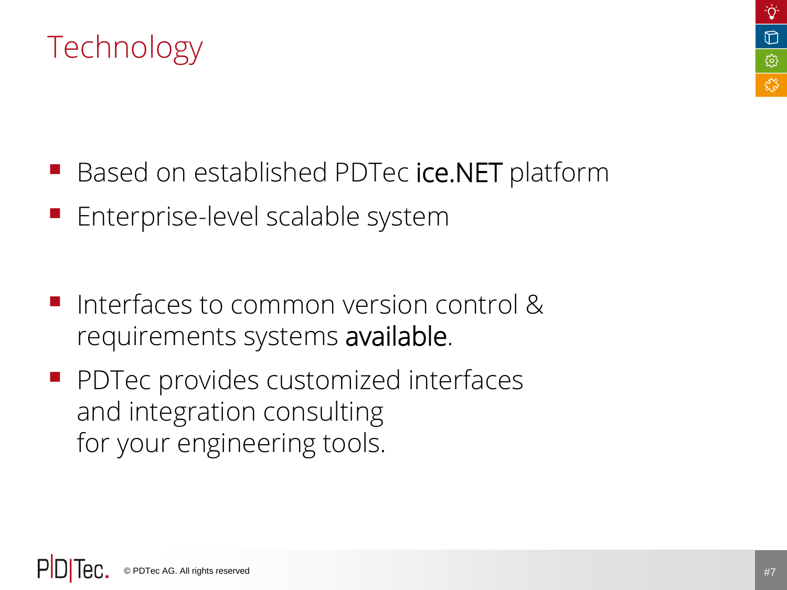

### Technology

- Based on established PDTec ice.NET platform
- Enterprise-level scalable system
- Interfaces to common version control & requirements systems available.
- **PDTec provides customized interfaces** and integration consulting for your engineering tools.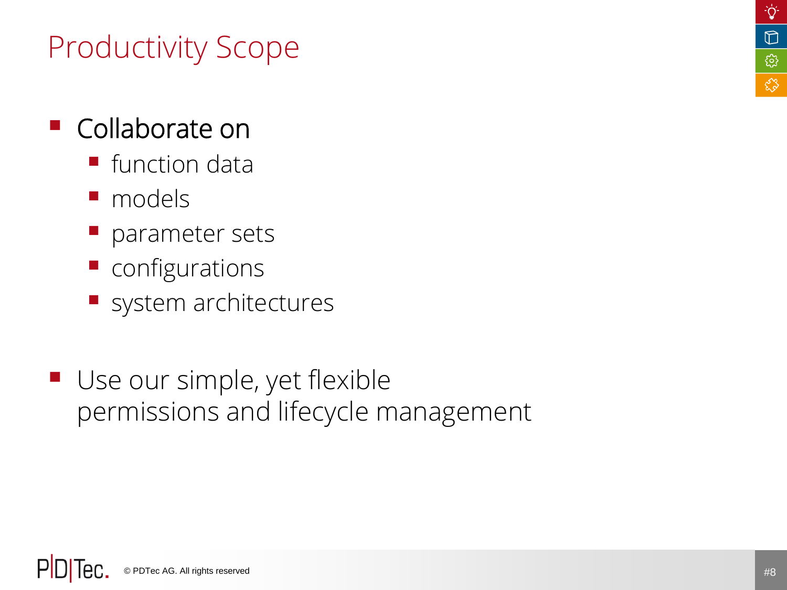#### ۰ö  $\mathbb D$ **ES** 83

### Productivity Scope

### Collaborate on

- function data
- **n**odels
- **P** parameter sets
- **Configurations**
- system architectures
- Use our simple, yet flexible permissions and lifecycle management